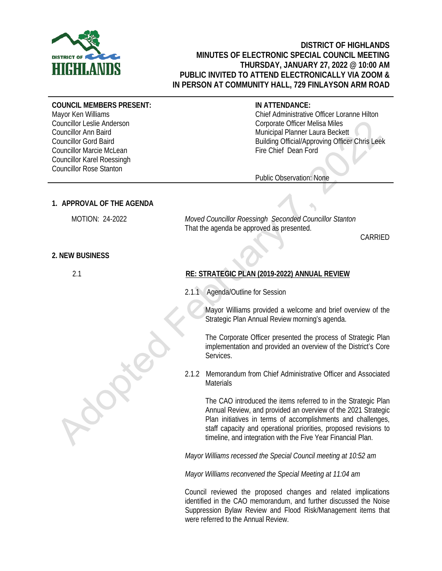

# **DISTRICT OF HIGHLANDS MINUTES OF ELECTRONIC SPECIAL COUNCIL MEETING THURSDAY, JANUARY 27, 2022 @ 10:00 AM PUBLIC INVITED TO ATTEND ELECTRONICALLY VIA ZOOM & IN PERSON AT COMMUNITY HALL, 729 FINLAYSON ARM ROAD**

#### **COUNCIL MEMBERS PRESENT:**

Mayor Ken Williams Councillor Leslie Anderson Councillor Ann Baird Councillor Gord Baird Councillor Marcie McLean Councillor Karel Roessingh Councillor Rose Stanton

## **IN ATTENDANCE:**

Chief Administrative Officer Loranne Hilton Corporate Officer Melisa Miles Municipal Planner Laura Beckett Building Official/Approving Officer Chris Leek Fire Chief Dean Ford

Public Observation: None

### **1. APPROVAL OF THE AGENDA**

MOTION: 24-2022 *Moved Councillor Roessingh Seconded Councillor Stanton* That the agenda be approved as presented.

CARRIED

#### **2. NEW BUSINESS**

2.1

## **RE: STRATEGIC PLAN (2019-2022) ANNUAL REVIEW**

2.1.1 Agenda/Outline for Session

Mayor Williams provided a welcome and brief overview of the Strategic Plan Annual Review morning's agenda.

The Corporate Officer presented the process of Strategic Plan implementation and provided an overview of the District's Core Services.

2.1.2 Memorandum from Chief Administrative Officer and Associated **Materials** 

The CAO introduced the items referred to in the Strategic Plan Annual Review, and provided an overview of the 2021 Strategic Plan initiatives in terms of accomplishments and challenges, staff capacity and operational priorities, proposed revisions to timeline, and integration with the Five Year Financial Plan.

*Mayor Williams recessed the Special Council meeting at 10:52 am*

*Mayor Williams reconvened the Special Meeting at 11:04 am*

 Council reviewed the proposed changes and related implications identified in the CAO memorandum, and further discussed the Noise Suppression Bylaw Review and Flood Risk/Management items that were referred to the Annual Review.